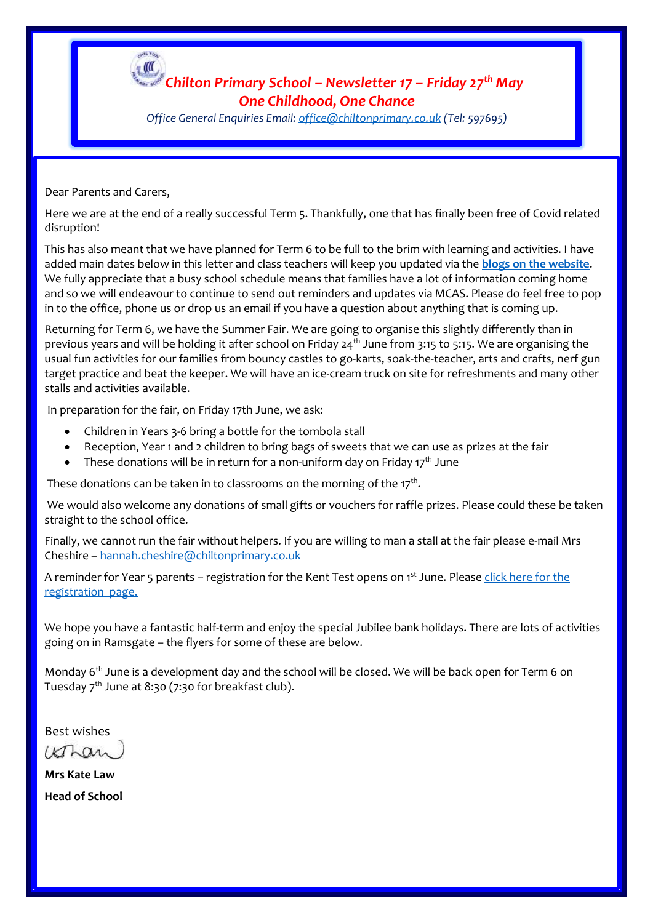

*Office General Enquiries Email[: office@chiltonprimary.co.uk](mailto:office@chiltonprimary.co.uk) (Tel: 597695)*

Dear Parents and Carers,

Here we are at the end of a really successful Term 5. Thankfully, one that has finally been free of Covid related disruption!

This has also meant that we have planned for Term 6 to be full to the brim with learning and activities. I have added main dates below in this letter and class teachers will keep you updated via the **[blogs on the website](https://www.chiltonprimary.co.uk/page/?title=LEARNING+INFORMATION+%26amp%3B+BLOGS&pid=80)**. We fully appreciate that a busy school schedule means that families have a lot of information coming home and so we will endeavour to continue to send out reminders and updates via MCAS. Please do feel free to pop in to the office, phone us or drop us an email if you have a question about anything that is coming up.

Returning for Term 6, we have the Summer Fair. We are going to organise this slightly differently than in previous years and will be holding it after school on Friday 24<sup>th</sup> June from 3:15 to 5:15. We are organising the usual fun activities for our families from bouncy castles to go-karts, soak-the-teacher, arts and crafts, nerf gun target practice and beat the keeper. We will have an ice-cream truck on site for refreshments and many other stalls and activities available.

In preparation for the fair, on Friday 17th June, we ask:

- Children in Years 3-6 bring a bottle for the tombola stall
- Reception, Year 1 and 2 children to bring bags of sweets that we can use as prizes at the fair
- These donations will be in return for a non-uniform day on Friday  $17<sup>th</sup>$  June

These donations can be taken in to classrooms on the morning of the 17 $^{\rm th}$ .

We would also welcome any donations of small gifts or vouchers for raffle prizes. Please could these be taken straight to the school office.

Finally, we cannot run the fair without helpers. If you are willing to man a stall at the fair please e-mail Mrs Cheshire – [hannah.cheshire@chiltonprimary.co.uk](mailto:hannah.cheshire@chiltonprimary.co.uk)

A reminder for Year 5 parents – registration for the Kent Test opens on 1<sup>st</sup> June. Please click here for the [registration page.](https://www.kent.gov.uk/education-and-children/schools/school-places/kent-test)

We hope you have a fantastic half-term and enjoy the special Jubilee bank holidays. There are lots of activities going on in Ramsgate – the flyers for some of these are below.

Monday 6<sup>th</sup> June is a development day and the school will be closed. We will be back open for Term 6 on Tuesday  $7<sup>th</sup>$  June at 8:30 (7:30 for breakfast club).

Best wishes

 $k\pi a$ 

**Mrs Kate Law Head of School**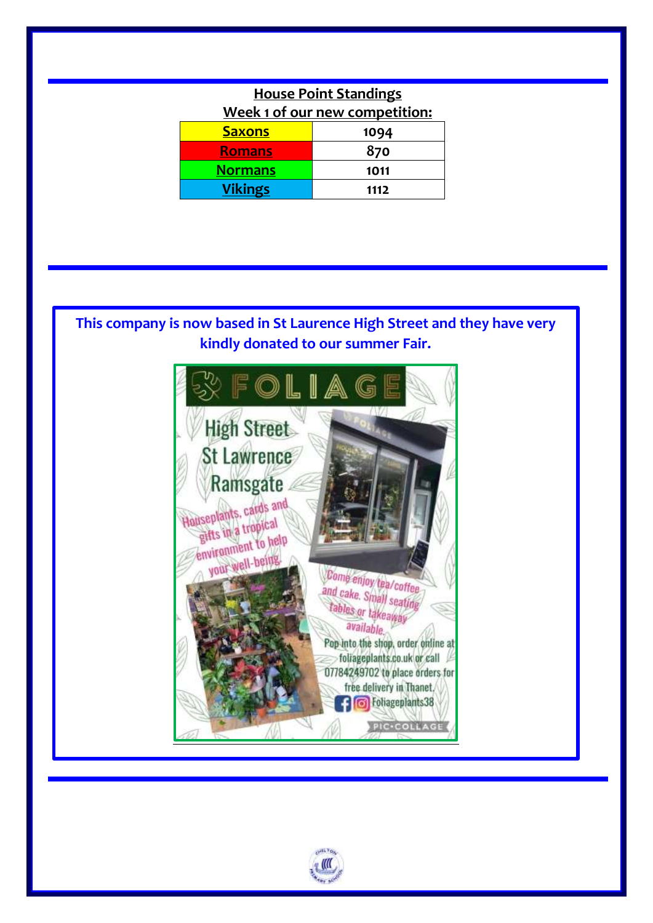| <b>House Point Standings</b>   |      |
|--------------------------------|------|
| Week 1 of our new competition: |      |
| <b>Saxons</b>                  | 1094 |
| <b>Romans</b>                  | 870  |
| <b>Normans</b>                 | 1011 |
| <b>Vikings</b>                 | 1112 |
|                                |      |

## **This company is now based in St Laurence High Street and they have very kindly donated to our summer Fair.**



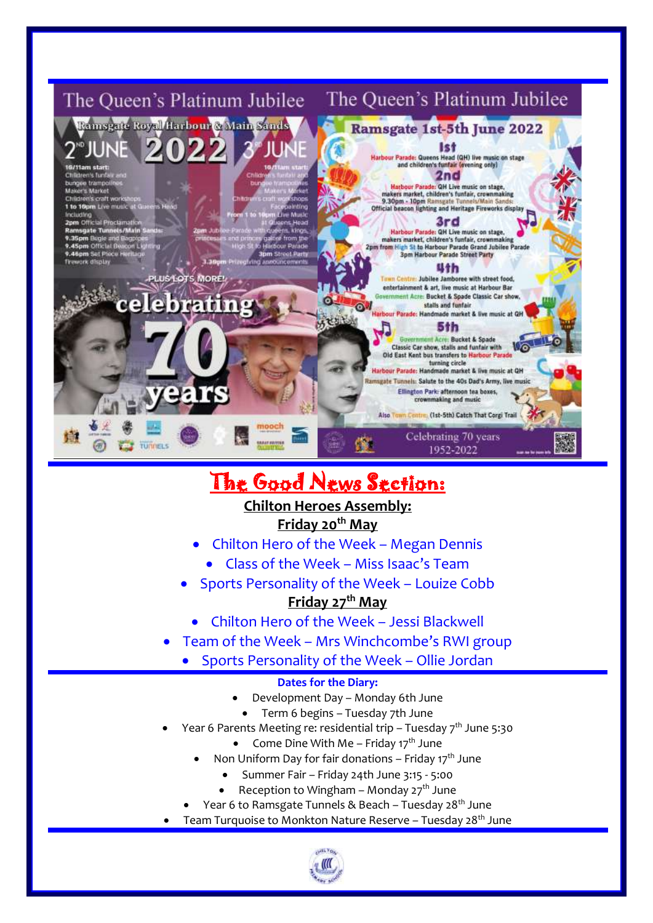

# The Good News Section:

## **Chilton Heroes Assembly: Friday 20th May**

- Chilton Hero of the Week Megan Dennis
	- Class of the Week Miss Isaac's Team
- Sports Personality of the Week Louize Cobb

## **Friday 27th May**

- Chilton Hero of the Week Jessi Blackwell
- Team of the Week Mrs Winchcombe's RWI group
	- Sports Personality of the Week Ollie Jordan

### **Dates for the Diary:**

- Development Day Monday 6th June
	- Term 6 begins Tuesday 7th June
- Year 6 Parents Meeting re: residential trip Tuesday  $7<sup>th</sup>$  June 5:30
	- Come Dine With Me Friday  $17<sup>th</sup>$  June
	- Non Uniform Day for fair donations Friday  $17<sup>th</sup>$  June
		- Summer Fair Friday 24th June 3:15 5:00
		- Reception to Wingham Monday  $27<sup>th</sup>$  June
	- Year 6 to Ramsgate Tunnels & Beach Tuesday 28<sup>th</sup> June
- Team Turquoise to Monkton Nature Reserve Tuesday 28<sup>th</sup> June

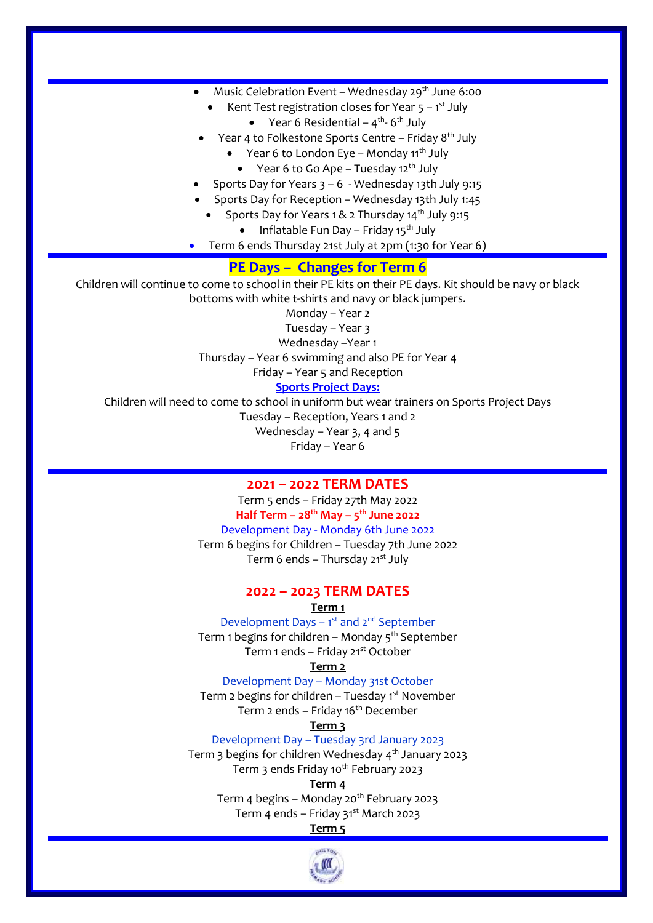- Music Celebration Event Wednesday  $29<sup>th</sup>$  June 6:00
	- Kent Test registration closes for Year  $5 1<sup>st</sup>$  July
		- $\bullet$  Year 6 Residential 4<sup>th</sup>-6<sup>th</sup> July
- Year 4 to Folkestone Sports Centre Friday  $8<sup>th</sup>$  July
	- Year 6 to London Eve Monday  $11^{th}$  July
		- Year 6 to Go Ape Tuesday 12<sup>th</sup> July
- Sports Day for Years 3 6 Wednesday 13th July 9:15
- Sports Day for Reception Wednesday 13th July 1:45
	- Sports Day for Years 1 & 2 Thursday  $14<sup>th</sup>$  July 9:15
		- Inflatable Fun Day Friday 15<sup>th</sup> July
- Term 6 ends Thursday 21st July at 2pm (1:30 for Year 6)

#### **PE Days – Changes for Term 6**

Children will continue to come to school in their PE kits on their PE days. Kit should be navy or black bottoms with white t-shirts and navy or black jumpers.

Monday – Year 2

Tuesday – Year 3

Wednesday –Year 1

Thursday – Year 6 swimming and also PE for Year 4

Friday – Year 5 and Reception

#### **Sports Project Days:**

Children will need to come to school in uniform but wear trainers on Sports Project Days Tuesday – Reception, Years 1 and 2 Wednesday – Year 3, 4 and 5 Friday – Year 6

#### **2021 – 2022 TERM DATES**

Term 5 ends – Friday 27th May 2022 **Half Term – 28th May – 5 th June 2022** Development Day - Monday 6th June 2022 Term 6 begins for Children – Tuesday 7th June 2022 Term 6 ends – Thursday  $21^{st}$  July

#### **2022 – 2023 TERM DATES**

#### **Term 1**

Development Days – 1<sup>st</sup> and 2<sup>nd</sup> September Term 1 begins for children – Monday  $5<sup>th</sup>$  September Term 1 ends - Friday 21<sup>st</sup> October

**Term 2**

Development Day – Monday 31st October

Term 2 begins for children – Tuesday  $1<sup>st</sup>$  November Term 2 ends – Friday  $16<sup>th</sup>$  December

**Term 3**

#### Development Day – Tuesday 3rd January 2023

Term 3 begins for children Wednesday 4<sup>th</sup> January 2023 Term 3 ends Friday 10<sup>th</sup> February 2023

#### **Term 4**

Term 4 begins – Monday 20<sup>th</sup> February 2023 Term 4 ends – Friday  $31<sup>st</sup>$  March 2023

#### **Term 5**